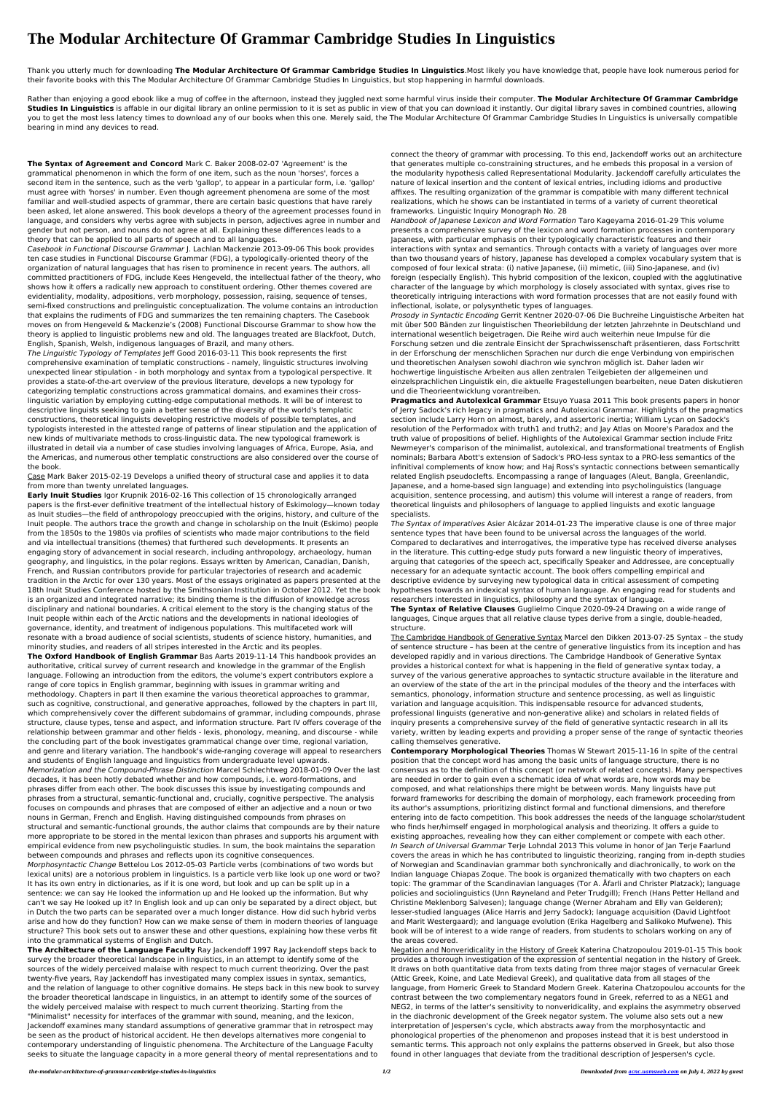## **The Modular Architecture Of Grammar Cambridge Studies In Linguistics**

Thank you utterly much for downloading **The Modular Architecture Of Grammar Cambridge Studies In Linguistics**.Most likely you have knowledge that, people have look numerous period for their favorite books with this The Modular Architecture Of Grammar Cambridge Studies In Linguistics, but stop happening in harmful downloads.

Rather than enjoying a good ebook like a mug of coffee in the afternoon, instead they juggled next some harmful virus inside their computer. **The Modular Architecture Of Grammar Cambridge** Studies In Linguistics is affable in our digital library an online permission to it is set as public in view of that you can download it instantly. Our digital library saves in combined countries, allowing you to get the most less latency times to download any of our books when this one. Merely said, the The Modular Architecture Of Grammar Cambridge Studies In Linguistics is universally compatible bearing in mind any devices to read.

**The Syntax of Agreement and Concord** Mark C. Baker 2008-02-07 'Agreement' is the grammatical phenomenon in which the form of one item, such as the noun 'horses', forces a second item in the sentence, such as the verb 'gallop', to appear in a particular form, i.e. 'gallop' must agree with 'horses' in number. Even though agreement phenomena are some of the most familiar and well-studied aspects of grammar, there are certain basic questions that have rarely been asked, let alone answered. This book develops a theory of the agreement processes found in language, and considers why verbs agree with subjects in person, adjectives agree in number and gender but not person, and nouns do not agree at all. Explaining these differences leads to a theory that can be applied to all parts of speech and to all languages.

The Linguistic Typology of Templates Jeff Good 2016-03-11 This book represents the first comprehensive examination of templatic constructions - namely, linguistic structures involving unexpected linear stipulation - in both morphology and syntax from a typological perspective. It provides a state-of-the-art overview of the previous literature, develops a new typology for categorizing templatic constructions across grammatical domains, and examines their crosslinguistic variation by employing cutting-edge computational methods. It will be of interest to descriptive linguists seeking to gain a better sense of the diversity of the world's templatic constructions, theoretical linguists developing restrictive models of possible templates, and typologists interested in the attested range of patterns of linear stipulation and the application of new kinds of multivariate methods to cross-linguistic data. The new typological framework is illustrated in detail via a number of case studies involving languages of Africa, Europe, Asia, and the Americas, and numerous other templatic constructions are also considered over the course of the book.

Casebook in Functional Discourse Grammar J. Lachlan Mackenzie 2013-09-06 This book provides ten case studies in Functional Discourse Grammar (FDG), a typologically-oriented theory of the organization of natural languages that has risen to prominence in recent years. The authors, all committed practitioners of FDG, include Kees Hengeveld, the intellectual father of the theory, who shows how it offers a radically new approach to constituent ordering. Other themes covered are evidentiality, modality, adpositions, verb morphology, possession, raising, sequence of tenses, semi-fixed constructions and prelinguistic conceptualization. The volume contains an introduction that explains the rudiments of FDG and summarizes the ten remaining chapters. The Casebook moves on from Hengeveld & Mackenzie's (2008) Functional Discourse Grammar to show how the theory is applied to linguistic problems new and old. The languages treated are Blackfoot, Dutch, English, Spanish, Welsh, indigenous languages of Brazil, and many others.

Case Mark Baker 2015-02-19 Develops a unified theory of structural case and applies it to data from more than twenty unrelated languages.

**Early Inuit Studies** Igor Krupnik 2016-02-16 This collection of 15 chronologically arranged papers is the first-ever definitive treatment of the intellectual history of Eskimology—known today as Inuit studies—the field of anthropology preoccupied with the origins, history, and culture of the Inuit people. The authors trace the growth and change in scholarship on the Inuit (Eskimo) people from the 1850s to the 1980s via profiles of scientists who made major contributions to the field and via intellectual transitions (themes) that furthered such developments. It presents an engaging story of advancement in social research, including anthropology, archaeology, human geography, and linguistics, in the polar regions. Essays written by American, Canadian, Danish, French, and Russian contributors provide for particular trajectories of research and academic tradition in the Arctic for over 130 years. Most of the essays originated as papers presented at the 18th Inuit Studies Conference hosted by the Smithsonian Institution in October 2012. Yet the book is an organized and integrated narrative; its binding theme is the diffusion of knowledge across disciplinary and national boundaries. A critical element to the story is the changing status of the Inuit people within each of the Arctic nations and the developments in national ideologies of governance, identity, and treatment of indigenous populations. This multifaceted work will resonate with a broad audience of social scientists, students of science history, humanities, and minority studies, and readers of all stripes interested in the Arctic and its peoples. **The Oxford Handbook of English Grammar** Bas Aarts 2019-11-14 This handbook provides an authoritative, critical survey of current research and knowledge in the grammar of the English language. Following an introduction from the editors, the volume's expert contributors explore a range of core topics in English grammar, beginning with issues in grammar writing and methodology. Chapters in part II then examine the various theoretical approaches to grammar, such as cognitive, constructional, and generative approaches, followed by the chapters in part III, which comprehensively cover the different subdomains of grammar, including compounds, phrase structure, clause types, tense and aspect, and information structure. Part IV offers coverage of the relationship between grammar and other fields - lexis, phonology, meaning, and discourse - while the concluding part of the book investigates grammatical change over time, regional variation, and genre and literary variation. The handbook's wide-ranging coverage will appeal to researchers and students of English language and linguistics from undergraduate level upwards. Memorization and the Compound-Phrase Distinction Marcel Schlechtweg 2018-01-09 Over the last decades, it has been hotly debated whether and how compounds, i.e. word-formations, and phrases differ from each other. The book discusses this issue by investigating compounds and phrases from a structural, semantic-functional and, crucially, cognitive perspective. The analysis focuses on compounds and phrases that are composed of either an adjective and a noun or two nouns in German, French and English. Having distinguished compounds from phrases on structural and semantic-functional grounds, the author claims that compounds are by their nature more appropriate to be stored in the mental lexicon than phrases and supports his argument with empirical evidence from new psycholinguistic studies. In sum, the book maintains the separation between compounds and phrases and reflects upon its cognitive consequences. Morphosyntactic Change Bettelou Los 2012-05-03 Particle verbs (combinations of two words but lexical units) are a notorious problem in linguistics. Is a particle verb like look up one word or two? It has its own entry in dictionaries, as if it is one word, but look and up can be split up in a sentence: we can say He looked the information up and He looked up the information. But why can't we say He looked up it? In English look and up can only be separated by a direct object, but in Dutch the two parts can be separated over a much longer distance. How did such hybrid verbs arise and how do they function? How can we make sense of them in modern theories of language structure? This book sets out to answer these and other questions, explaining how these verbs fit into the grammatical systems of English and Dutch. **The Architecture of the Language Faculty** Ray Jackendoff 1997 Ray Jackendoff steps back to survey the broader theoretical landscape in linguistics, in an attempt to identify some of the sources of the widely perceived malaise with respect to much current theorizing. Over the past twenty-five years, Ray Jackendoff has investigated many complex issues in syntax, semantics, and the relation of language to other cognitive domains. He steps back in this new book to survey the broader theoretical landscape in linguistics, in an attempt to identify some of the sources of the widely perceived malaise with respect to much current theorizing. Starting from the "Minimalist" necessity for interfaces of the grammar with sound, meaning, and the lexicon, Jackendoff examines many standard assumptions of generative grammar that in retrospect may be seen as the product of historical accident. He then develops alternatives more congenial to contemporary understanding of linguistic phenomena. The Architecture of the Language Faculty seeks to situate the language capacity in a more general theory of mental representations and to

connect the theory of grammar with processing. To this end, Jackendoff works out an architecture that generates multiple co-constraining structures, and he embeds this proposal in a version of the modularity hypothesis called Representational Modularity. Jackendoff carefully articulates the nature of lexical insertion and the content of lexical entries, including idioms and productive affixes. The resulting organization of the grammar is compatible with many different technical realizations, which he shows can be instantiated in terms of a variety of current theoretical frameworks. Linguistic Inquiry Monograph No. 28

Handbook of Japanese Lexicon and Word Formation Taro Kageyama 2016-01-29 This volume presents a comprehensive survey of the lexicon and word formation processes in contemporary Japanese, with particular emphasis on their typologically characteristic features and their interactions with syntax and semantics. Through contacts with a variety of languages over more than two thousand years of history, Japanese has developed a complex vocabulary system that is composed of four lexical strata: (i) native Japanese, (ii) mimetic, (iii) Sino-Japanese, and (iv) foreign (especially English). This hybrid composition of the lexicon, coupled with the agglutinative character of the language by which morphology is closely associated with syntax, gives rise to theoretically intriguing interactions with word formation processes that are not easily found with inflectional, isolate, or polysynthetic types of languages.

Prosody in Syntactic Encoding Gerrit Kentner 2020-07-06 Die Buchreihe Linguistische Arbeiten hat mit über 500 Bänden zur linguistischen Theoriebildung der letzten Jahrzehnte in Deutschland und international wesentlich beigetragen. Die Reihe wird auch weiterhin neue Impulse für die Forschung setzen und die zentrale Einsicht der Sprachwissenschaft präsentieren, dass Fortschritt in der Erforschung der menschlichen Sprachen nur durch die enge Verbindung von empirischen und theoretischen Analysen sowohl diachron wie synchron möglich ist. Daher laden wir hochwertige linguistische Arbeiten aus allen zentralen Teilgebieten der allgemeinen und einzelsprachlichen Linguistik ein, die aktuelle Fragestellungen bearbeiten, neue Daten diskutieren und die Theorieentwicklung vorantreiben.

**Pragmatics and Autolexical Grammar** Etsuyo Yuasa 2011 This book presents papers in honor of Jerry Sadock's rich legacy in pragmatics and Autolexical Grammar. Highlights of the pragmatics section include Larry Horn on almost, barely, and assertoric inertia; William Lycan on Sadock's resolution of the Performadox with truth1 and truth2; and Jay Atlas on Moore's Paradox and the truth value of propositions of belief. Highlights of the Autolexical Grammar section include Fritz Newmeyer's comparison of the minimalist, autolexical, and transformational treatments of English nominals; Barbara Abott's extension of Sadock's PRO-less syntax to a PRO-less semantics of the infinitival complements of know how; and Haj Ross's syntactic connections between semantically related English pseudoclefts. Encompassing a range of languages (Aleut, Bangla, Greenlandic, Japanese, and a home-based sign language) and extending into psycholinguistics (language acquisition, sentence processing, and autism) this volume will interest a range of readers, from theoretical linguists and philosophers of language to applied linguists and exotic language specialists.

The Syntax of Imperatives Asier Alcázar 2014-01-23 The imperative clause is one of three major sentence types that have been found to be universal across the languages of the world. Compared to declaratives and interrogatives, the imperative type has received diverse analyses in the literature. This cutting-edge study puts forward a new linguistic theory of imperatives, arguing that categories of the speech act, specifically Speaker and Addressee, are conceptually necessary for an adequate syntactic account. The book offers compelling empirical and descriptive evidence by surveying new typological data in critical assessment of competing hypotheses towards an indexical syntax of human language. An engaging read for students and researchers interested in linguistics, philosophy and the syntax of language.

**The Syntax of Relative Clauses** Guglielmo Cinque 2020-09-24 Drawing on a wide range of languages, Cinque argues that all relative clause types derive from a single, double-headed, structure.

The Cambridge Handbook of Generative Syntax Marcel den Dikken 2013-07-25 Syntax – the study of sentence structure – has been at the centre of generative linguistics from its inception and has developed rapidly and in various directions. The Cambridge Handbook of Generative Syntax provides a historical context for what is happening in the field of generative syntax today, a survey of the various generative approaches to syntactic structure available in the literature and an overview of the state of the art in the principal modules of the theory and the interfaces with semantics, phonology, information structure and sentence processing, as well as linguistic variation and language acquisition. This indispensable resource for advanced students, professional linguists (generative and non-generative alike) and scholars in related fields of inquiry presents a comprehensive survey of the field of generative syntactic research in all its variety, written by leading experts and providing a proper sense of the range of syntactic theories calling themselves generative.

**Contemporary Morphological Theories** Thomas W Stewart 2015-11-16 In spite of the central position that the concept word has among the basic units of language structure, there is no consensus as to the definition of this concept (or network of related concepts). Many perspectives are needed in order to gain even a schematic idea of what words are, how words may be composed, and what relationships there might be between words. Many linguists have put forward frameworks for describing the domain of morphology, each framework proceeding from its author's assumptions, prioritizing distinct formal and functional dimensions, and therefore entering into de facto competition. This book addresses the needs of the language scholar/student who finds her/himself engaged in morphological analysis and theorizing. It offers a guide to existing approaches, revealing how they can either complement or compete with each other. In Search of Universal Grammar Terje Lohndal 2013 This volume in honor of Jan Terje Faarlund covers the areas in which he has contributed to linguistic theorizing, ranging from in-depth studies of Norwegian and Scandinavian grammar both synchronically and diachronically, to work on the Indian language Chiapas Zoque. The book is organized thematically with two chapters on each topic: The grammar of the Scandinavian languages (Tor A. Åfarli and Christer Platzack); language policies and sociolinguistics (Unn Røyneland and Peter Trudgill); French (Hans Petter Helland and Christine Meklenborg Salvesen); language change (Werner Abraham and Elly van Gelderen); lesser-studied languages (Alice Harris and Jerry Sadock); language acquisition (David Lightfoot and Marit Westergaard); and language evolution (Erika Hagelberg and Salikoko Mufwene). This book will be of interest to a wide range of readers, from students to scholars working on any of the areas covered.

Negation and Nonveridicality in the History of Greek Katerina Chatzopoulou 2019-01-15 This book provides a thorough investigation of the expression of sentential negation in the history of Greek. It draws on both quantitative data from texts dating from three major stages of vernacular Greek (Attic Greek, Koine, and Late Medieval Greek), and qualitative data from all stages of the language, from Homeric Greek to Standard Modern Greek. Katerina Chatzopoulou accounts for the contrast between the two complementary negators found in Greek, referred to as a NEG1 and NEG2, in terms of the latter's sensitivity to nonveridicality, and explains the asymmetry observed in the diachronic development of the Greek negator system. The volume also sets out a new interpretation of Jespersen's cycle, which abstracts away from the morphosyntactic and phonological properties of the phenomenon and proposes instead that it is best understood in semantic terms. This approach not only explains the patterns observed in Greek, but also those found in other languages that deviate from the traditional description of Jespersen's cycle.